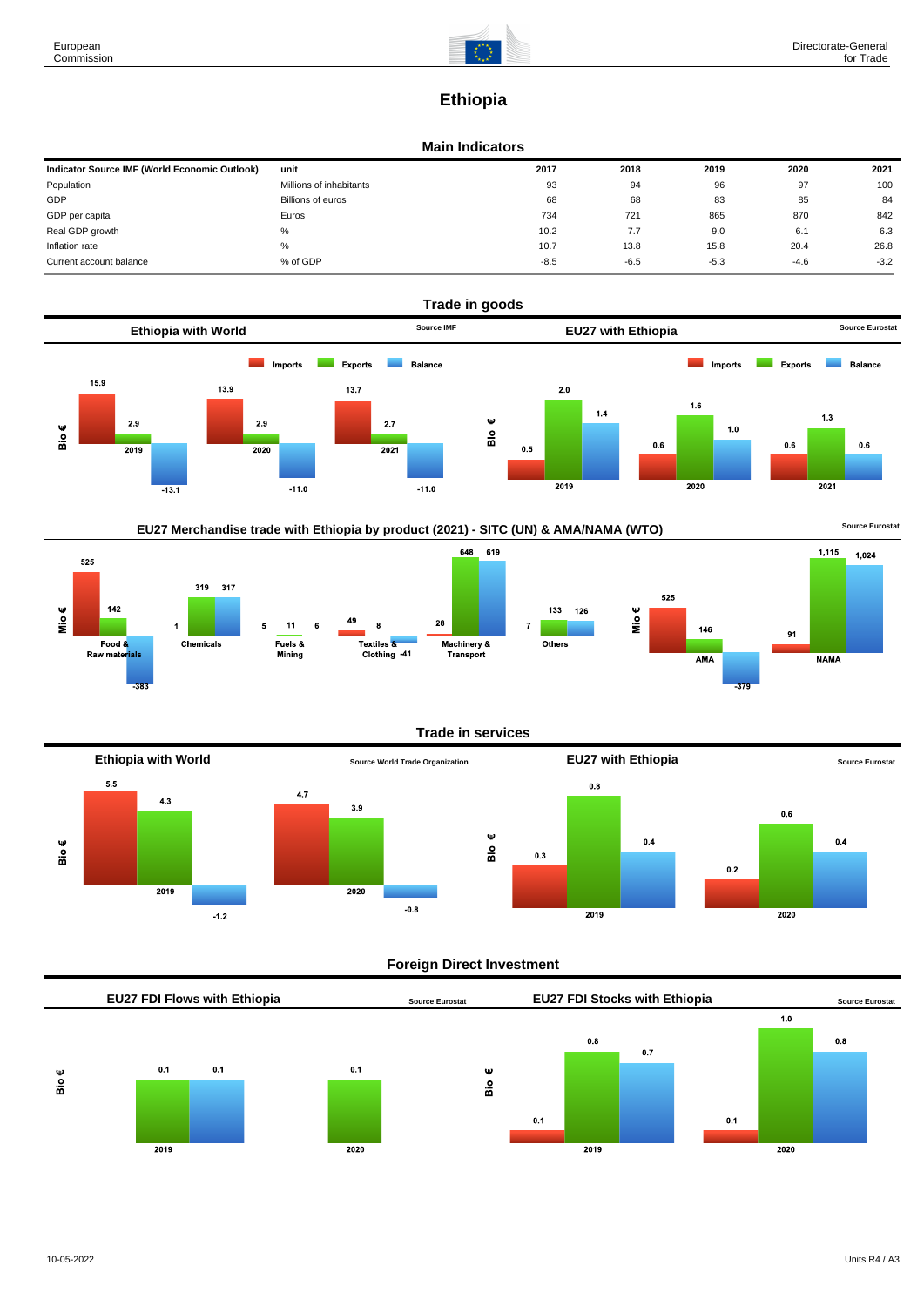

# **Ethiopia**

## **Main Indicators**

| Indicator Source IMF (World Economic Outlook) | unit                    | 2017   | 2018   | 2019   | 2020   | 2021   |
|-----------------------------------------------|-------------------------|--------|--------|--------|--------|--------|
| Population                                    | Millions of inhabitants | 93     | 94     | 96     | 97     | 100    |
| GDP                                           | Billions of euros       | 68     | 68     | 83     | 85     | 84     |
| GDP per capita                                | Euros                   | 734    | 721    | 865    | 870    | 842    |
| Real GDP growth                               | %                       | 10.2   | 7.7    | 9.0    | 6.1    | 6.3    |
| Inflation rate                                | %                       | 10.7   | 13.8   | 15.8   | 20.4   | 26.8   |
| Current account balance                       | % of GDP                | $-8.5$ | $-6.5$ | $-5.3$ | $-4.6$ | $-3.2$ |





#### **Trade in services**



## **Foreign Direct Investment**